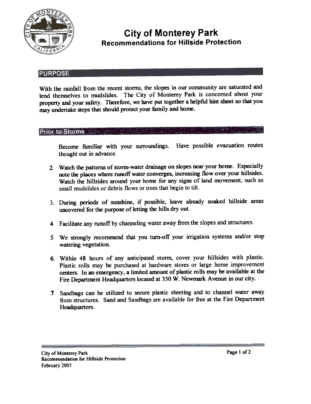

# City of Monterey Park Recommendations for Hillside Protection

#### **PURPOSE**

With the rainfall from the recent storms, the slopes in our community are saturated and lend themselves to mudslides. The City of Monterey Park is concerned about your property and your safety. Therefore, we have put together a helpful hint sheet so that you may urdertake steps that should protect yom family and home.

### **Prior to Storms**

Become familiar with your surroundings. Have possible evacuation routes thought out in advance.

- Watch the patterns of storm-water drainage on slopes near your home. Especially 2. note the places where runoff water converges, increasing flow over your hillsides. Watch the hillsides around your home for any signs of land movement, such as small mudslides or debris flows or trees that begin to tilt.
- 3. During periods of sunshine, if possible, leave already soaked hillside areas uncovered for the purpose of letting the hills dry out.
- 4 Facilitate any runoff by channeling water away from the slopes and structures.
- We strongly recommend that you turn-off your irrigation systems and/or stop 5 watering vegetation.
- 6. Within 48 hours of any anticipated storm, cover your hillsides with plastic. Plastic rolls may be purchased at hardware stores or large home improvement centers. In an emergency. a limited amount of plastic rolls may be available at the Fire Department Headquarters located at 350 W. Newmark Avenue in our city.
- Sandbags can be utilized to secure plastic sheeting and to channel water away 7 from structures. Sand and Sandbags are available for free at the Fire Department Headquarters.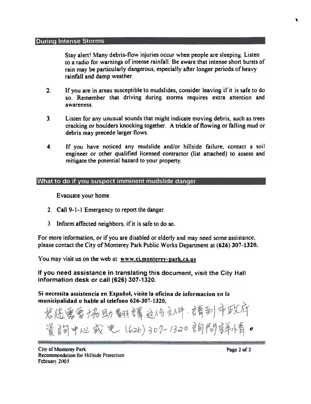#### **During Intense Storms**

Stay alert! Many debris-flow injuries occur when people are sleeping. Listen to a radio for warnings of intense rainfall. Be aware that intense short bursts of rain may be particularly dangerous, especially after longer periods of heavy rainfall and damp weather.

- 2. If you are in areas susceptible to mudslides, consider leaving if it is safe to do so. Remember that driving during storms requires extra attention and awareness.
- 3 Listen for any unusual sounds that might indicate moving debris, such as trees cracking or boulders knocking together. A trickle of flowing or falling mud or debris may precede larger flows.
- If you have noticed any mudslide and/or hillside failure, contact a soil engineer or other qualified licensed contractor (list attached) to assess and mitigate the potential hazard to your property. 4.

### What to do if you suspect imminent mudslide danger

Evacuate your home.

- 2. Call 9-1-1 Emergency to report the danger.
- 3 Inform affected neighbors, if it is safe to do so.

For more information, or if you are disabled or elderly and may need some assistance, please contact the City of Monterey Park Public Works Department at (626) 307-1320.

You may visit us on the web at:  $www.ci.monterey-park.ca.us$ 

If you need assistance in translating this document, visit the City Hall information desk or call (626) 307-1320.

Si necessita assistencia en Espaiiol, visite la oficina de informacion en la